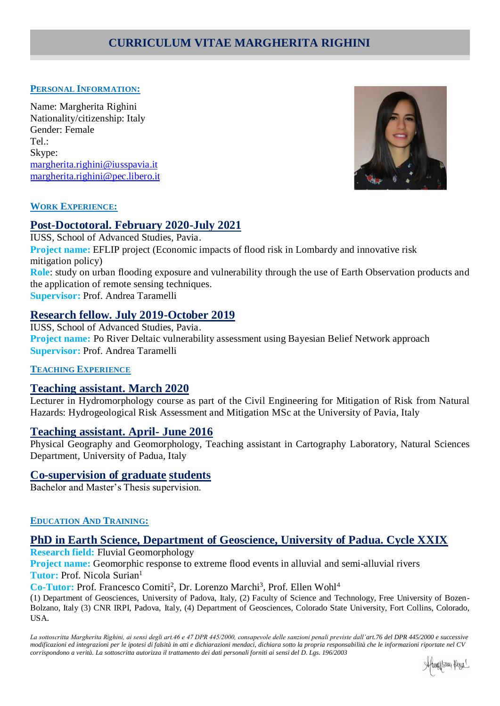# **CURRICULUM VITAE MARGHERITA RIGHINI**

#### **PERSONAL INFORMATION:**

Name: Margherita Righini Nationality/citizenship: Italy Gender: Female Tel.: Skype: [margherita.righini@iusspavia.it](mailto:margherita.righini@iusspavia.it) margherita.righini@pec.libero.it



#### **WORK EXPERIENCE:**

## **Post-Doctotoral. February 2020-July 2021**

IUSS, School of Advanced Studies, Pavia. **Project name:** EFLIP project (Economic impacts of flood risk in Lombardy and innovative risk mitigation policy) **Role**: study on urban flooding exposure and vulnerability through the use of Earth Observation products and the application of remote sensing techniques. **Supervisor:** Prof. Andrea Taramelli

# **Research fellow. July 2019-October 2019**

IUSS, School of Advanced Studies, Pavia. **Project name:** Po River Deltaic vulnerability assessment using Bayesian Belief Network approach **Supervisor:** Prof. Andrea Taramelli

### **TEACHING EXPERIENCE**

### **Teaching assistant. March 2020**

Lecturer in Hydromorphology course as part of the Civil Engineering for Mitigation of Risk from Natural Hazards: Hydrogeological Risk Assessment and Mitigation MSc at the University of Pavia, Italy

### **Teaching assistant. April- June 2016**

Physical Geography and Geomorphology, Teaching assistant in Cartography Laboratory, Natural Sciences Department, University of Padua, Italy

### **Co-supervision of graduate students**

Bachelor and Master's Thesis supervision.

#### **EDUCATION AND TRAINING:**

# **PhD in Earth Science, Department of Geoscience, University of Padua. Cycle XXIX**

**Research field:** Fluvial Geomorphology

**Project name:** Geomorphic response to extreme flood events in alluvial and semi-alluvial rivers **Tutor:** Prof. Nicola Surian<sup>1</sup>

Co-Tutor: Prof. Francesco Comiti<sup>2</sup>, Dr. Lorenzo Marchi<sup>3</sup>, Prof. Ellen Wohl<sup>4</sup>

(1) Department of Geosciences, University of Padova, Italy, (2) Faculty of Science and Technology, Free University of Bozen-Bolzano, Italy (3) CNR IRPI, Padova, Italy, (4) Department of Geosciences, Colorado State University, Fort Collins, Colorado, USA.

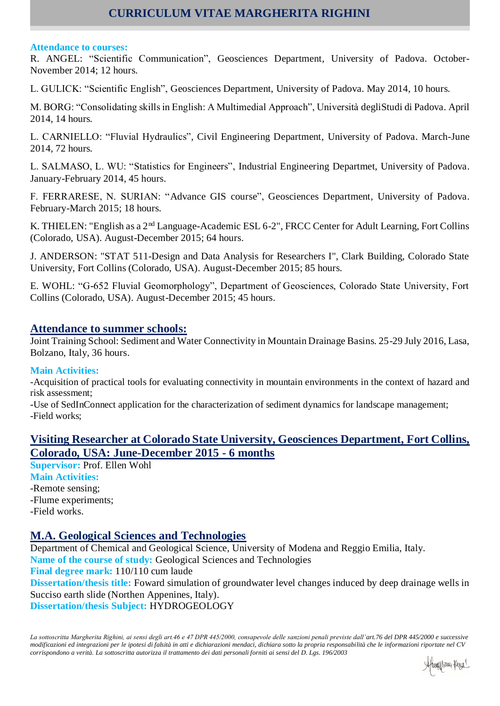# **CURRICULUM VITAE MARGHERITA RIGHINI**

#### **Attendance to courses:**

R. ANGEL: "Scientific Communication", Geosciences Department, University of Padova. October-November 2014; 12 hours.

L. GULICK: "Scientific English", Geosciences Department, University of Padova. May 2014, 10 hours.

M. BORG: "Consolidating skills in English: A Multimedial Approach", Università degliStudi di Padova. April 2014, 14 hours.

L. CARNIELLO: "Fluvial Hydraulics", Civil Engineering Department, University of Padova. March-June 2014, 72 hours.

L. SALMASO, L. WU: "Statistics for Engineers", Industrial Engineering Departmet, University of Padova. January-February 2014, 45 hours.

F. FERRARESE, N. SURIAN: "Advance GIS course", Geosciences Department, University of Padova. February-March 2015; 18 hours.

K. THIELEN: "English as a 2nd Language-Academic ESL 6-2", FRCC Center for Adult Learning, Fort Collins (Colorado, USA). August-December 2015; 64 hours.

J. ANDERSON: "STAT 511-Design and Data Analysis for Researchers I", Clark Building, Colorado State University, Fort Collins (Colorado, USA). August-December 2015; 85 hours.

E. WOHL: "G-652 Fluvial Geomorphology", Department of Geosciences, Colorado State University, Fort Collins (Colorado, USA). August-December 2015; 45 hours.

# **Attendance to summer schools:**

Joint Training School: Sediment and Water Connectivity in Mountain Drainage Basins. 25-29 July 2016, Lasa, Bolzano, Italy, 36 hours.

### **Main Activities:**

-Acquisition of practical tools for evaluating connectivity in mountain environments in the context of hazard and risk assessment;

-Use of SedInConnect application for the characterization of sediment dynamics for landscape management; -Field works;

# **Visiting Researcher at Colorado State University, Geosciences Department, Fort Collins, Colorado, USA: June-December 2015 - 6 months**

**Supervisor:** Prof. Ellen Wohl **Main Activities:** -Remote sensing; -Flume experiments; -Field works.

# **M.A. Geological Sciences and Technologies**

Department of Chemical and Geological Science, University of Modena and Reggio Emilia, Italy. **Name of the course of study:** Geological Sciences and Technologies **Final degree mark:** 110/110 cum laude **Dissertation/thesis title:** Foward simulation of groundwater level changes induced by deep drainage wells in Succiso earth slide (Northen Appenines, Italy). **Dissertation/thesis Subject:** HYDROGEOLOGY

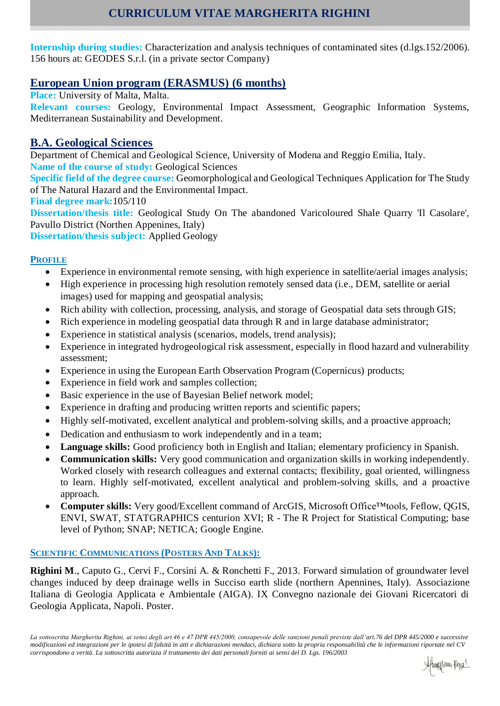**Internship during studies:** Characterization and analysis techniques of contaminated sites (d.lgs.152/2006). 156 hours at: GEODES S.r.l. (in a private sector Company)

# **European Union program (ERASMUS) (6 months)**

**Place:** University of Malta, Malta.

**Relevant courses:** Geology, Environmental Impact Assessment, Geographic Information Systems, Mediterranean Sustainability and Development.

# **B.A. Geological Sciences**

Department of Chemical and Geological Science, University of Modena and Reggio Emilia, Italy. **Name of the course of study:** Geological Sciences

**Specific field of the degree course:** Geomorphological and Geological Techniques Application for The Study of The Natural Hazard and the Environmental Impact.

**Final degree mark:**105/110

**Dissertation/thesis title:** Geological Study On The abandoned Varicoloured Shale Quarry 'Il Casolare', Pavullo District (Northen Appenines, Italy)

**Dissertation/thesis subject:** Applied Geology

# **PROFILE**

- Experience in environmental remote sensing, with high experience in satellite/aerial images analysis;
- High experience in processing high resolution remotely sensed data (i.e., DEM, satellite or aerial images) used for mapping and geospatial analysis;
- Rich ability with collection, processing, analysis, and storage of Geospatial data sets through GIS;
- Rich experience in modeling geospatial data through R and in large database administrator;
- Experience in statistical analysis (scenarios, models, trend analysis);
- Experience in integrated hydrogeological risk assessment, especially in flood hazard and vulnerability assessment;
- Experience in using the European Earth Observation Program (Copernicus) products;
- Experience in field work and samples collection;
- Basic experience in the use of Bayesian Belief network model;
- Experience in drafting and producing written reports and scientific papers;
- Highly self-motivated, excellent analytical and problem-solving skills, and a proactive approach;
- Dedication and enthusiasm to work independently and in a team;
- **Language skills:** Good proficiency both in English and Italian; elementary proficiency in Spanish.
- **Communication skills:** Very good communication and organization skills in working independently. Worked closely with research colleagues and external contacts; flexibility, goal oriented, willingness to learn. Highly self-motivated, excellent analytical and problem-solving skills, and a proactive approach.
- **Computer skills:** Very good/Excellent command of ArcGIS, Microsoft Office™tools, Feflow, QGIS, ENVI, SWAT, STATGRAPHICS centurion XVI; R - The R Project for Statistical Computing; base level of Python; SNAP; NETICA; Google Engine.

# **SCIENTIFIC COMMUNICATIONS (POSTERS AND TALKS):**

**Righini M**., Caputo G., Cervi F., Corsini A. & Ronchetti F., 2013. Forward simulation of groundwater level changes induced by deep drainage wells in Succiso earth slide (northern Apennines, Italy). Associazione Italiana di Geologia Applicata e Ambientale (AIGA). IX Convegno nazionale dei Giovani Ricercatori di Geologia Applicata, Napoli. Poster.

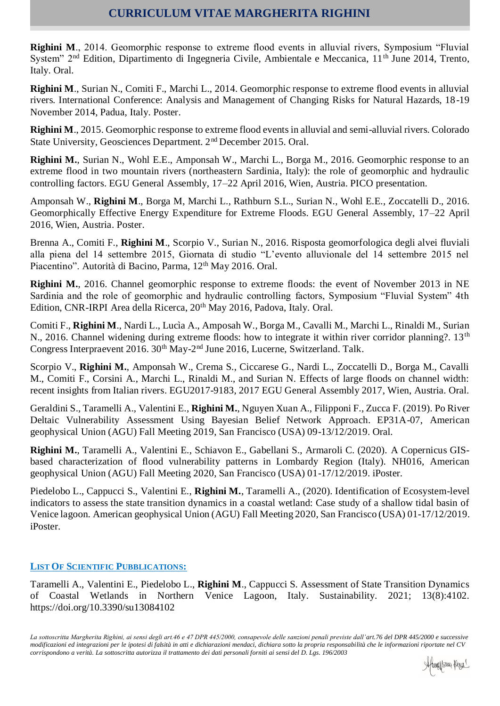# **CURRICULUM VITAE MARGHERITA RIGHINI**

**Righini M**., 2014. Geomorphic response to extreme flood events in alluvial rivers, Symposium "Fluvial System" 2<sup>nd</sup> Edition, Dipartimento di Ingegneria Civile, Ambientale e Meccanica, 11<sup>th</sup> June 2014, Trento, Italy. Oral.

**Righini M**., Surian N., Comiti F., Marchi L., 2014. Geomorphic response to extreme flood events in alluvial rivers. International Conference: Analysis and Management of Changing Risks for Natural Hazards, 18-19 November 2014, Padua, Italy. Poster.

**Righini M**., 2015. Geomorphic response to extreme flood events in alluvial and semi-alluvial rivers. Colorado State University, Geosciences Department. 2nd December 2015. Oral.

**Righini M.**, Surian N., Wohl E.E., Amponsah W., Marchi L., Borga M., 2016. Geomorphic response to an extreme flood in two mountain rivers (northeastern Sardinia, Italy): the role of geomorphic and hydraulic controlling factors. EGU General Assembly, 17–22 April 2016, Wien, Austria. PICO presentation.

Amponsah W., **Righini M**., Borga M, Marchi L., Rathburn S.L., Surian N., Wohl E.E., Zoccatelli D., 2016. Geomorphically Effective Energy Expenditure for Extreme Floods. EGU General Assembly, 17–22 April 2016, Wien, Austria. Poster.

Brenna A., Comiti F., **Righini M**., Scorpio V., Surian N., 2016. Risposta geomorfologica degli alvei fluviali alla piena del 14 settembre 2015, Giornata di studio "L'evento alluvionale del 14 settembre 2015 nel Piacentino". Autorità di Bacino, Parma, 12<sup>th</sup> May 2016. Oral.

**Righini M.**, 2016. Channel geomorphic response to extreme floods: the event of November 2013 in NE Sardinia and the role of geomorphic and hydraulic controlling factors, Symposium "Fluvial System" 4th Edition, CNR-IRPI Area della Ricerca, 20<sup>th</sup> May 2016, Padova, Italy. Oral.

Comiti F., **Righini M**., Nardi L., Lucìa A., Amposah W., Borga M., Cavalli M., Marchi L., Rinaldi M., Surian N., 2016. Channel widening during extreme floods: how to integrate it within river corridor planning?. 13<sup>th</sup> Congress Interpraevent 2016. 30<sup>th</sup> May-2<sup>nd</sup> June 2016, Lucerne, Switzerland. Talk.

Scorpio V., **Righini M.**, Amponsah W., Crema S., Ciccarese G., Nardi L., Zoccatelli D., Borga M., Cavalli M., Comiti F., Corsini A., Marchi L., Rinaldi M., and Surian N. Effects of large floods on channel width: recent insights from Italian rivers. EGU2017-9183, 2017 EGU General Assembly 2017, Wien, Austria. Oral.

Geraldini S., Taramelli A., Valentini E., **Righini M.**, Nguyen Xuan A., Filipponi F., Zucca F. (2019). Po River Deltaic Vulnerability Assessment Using Bayesian Belief Network Approach. EP31A-07, American geophysical Union (AGU) Fall Meeting 2019, San Francisco (USA) 09-13/12/2019. Oral.

**Righini M.**, Taramelli A., Valentini E., Schiavon E., Gabellani S., Armaroli C. (2020). A Copernicus GISbased characterization of flood vulnerability patterns in Lombardy Region (Italy). NH016, American geophysical Union (AGU) Fall Meeting 2020, San Francisco (USA) 01-17/12/2019. iPoster.

Piedelobo L., Cappucci S., Valentini E., **Righini M.**, Taramelli A., (2020). Identification of Ecosystem-level indicators to assess the state transition dynamics in a coastal wetland: Case study of a shallow tidal basin of Venice lagoon. American geophysical Union (AGU) Fall Meeting 2020, San Francisco (USA) 01-17/12/2019. iPoster.

### **LIST OF SCIENTIFIC PUBBLICATIONS:**

Taramelli A., Valentini E., Piedelobo L., **Righini M**., Cappucci S. Assessment of State Transition Dynamics of Coastal Wetlands in Northern Venice Lagoon, Italy. Sustainability. 2021; 13(8):4102. https://doi.org/10.3390/su13084102